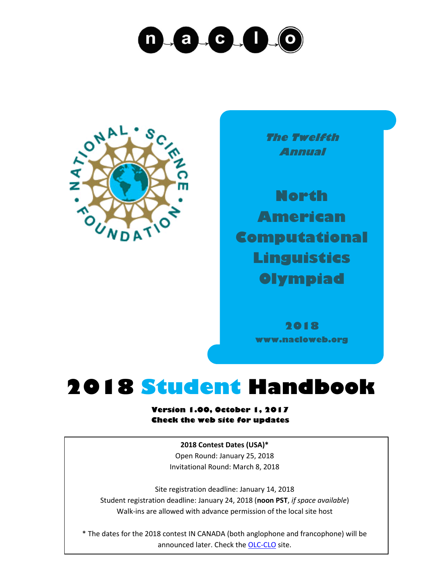## $\sqrt{a}$ ,  $c$ ,  $\sqrt{1}$  $\mathsf{n}$



**The Twelfth Annual**

**North American Computational Linguistics Olympiad**

> **2018 www.nacloweb.org**

## **2018 Student Handbook**

**Version 1.00, October 1, 2017 Check the web site for updates**

> **2018 Contest Dates (USA)\*** Open Round: January 25, 2018 Invitational Round: March 8, 2018

Site registration deadline: January 14, 2018 Student registration deadline: January 24, 2018 (**noon PST**, *if space available*) Walk-ins are allowed with advance permission of the local site host

\* The dates for the 2018 contest IN CANADA (both anglophone and francophone) will be announced later. Check th[e OLC-CLO](https://olc-clo.org/) site.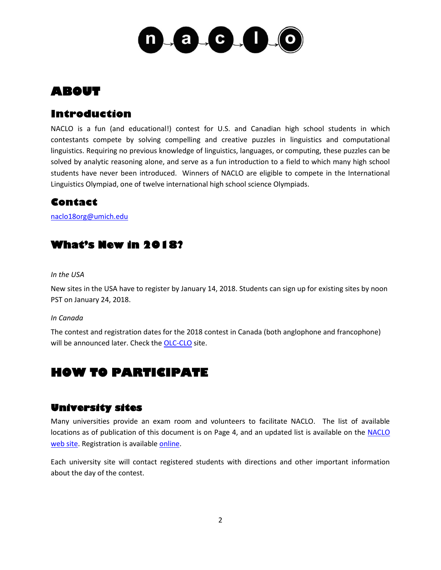

## **ABOUT**

## **Introduction**

NACLO is a fun (and educational!) contest for U.S. and Canadian high school students in which contestants compete by solving compelling and creative puzzles in linguistics and computational linguistics. Requiring no previous knowledge of linguistics, languages, or computing, these puzzles can be solved by analytic reasoning alone, and serve as a fun introduction to a field to which many high school students have never been introduced. Winners of NACLO are eligible to compete in the International Linguistics Olympiad, one of twelve international high school science Olympiads.

## **Contact**

[naclo18org@umich.edu](mailto:naclo18org@umich.edu)

## **What's New in 2018?**

#### *In the USA*

New sites in the USA have to register by January 14, 2018. Students can sign up for existing sites by noon PST on January 24, 2018.

#### *In Canada*

The contest and registration dates for the 2018 contest in Canada (both anglophone and francophone) will be announced later. Check th[e OLC-CLO](https://olc-clo.org/) site.

## **HOW TO PARTICIPATE**

#### **University sites**

Many universities provide an exam room and volunteers to facilitate NACLO. The list of available locations as of publication of this document is on Page 4, and an updated list is available on the NACLO [web site.](http://www.nacloweb.org/) Registration is available [online.](http://nacloweb.org/register_student.php)

Each university site will contact registered students with directions and other important information about the day of the contest.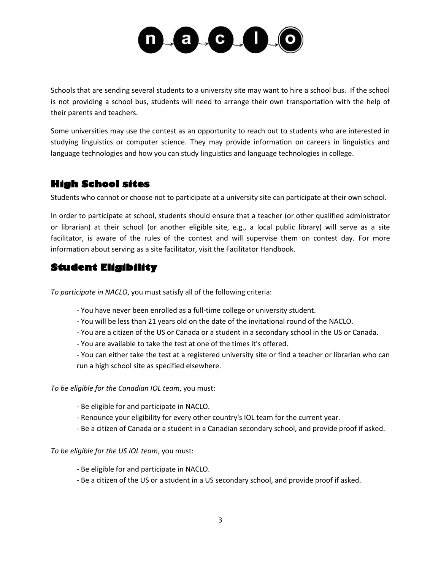

Schools that are sending several students to a university site may want to hire a school bus. If the school is not providing a school bus, students will need to arrange their own transportation with the help of their parents and teachers.

Some universities may use the contest as an opportunity to reach out to students who are interested in studying linguistics or computer science. They may provide information on careers in linguistics and language technologies and how you can study linguistics and language technologies in college.

## **High School sites**

Students who cannot or choose not to participate at a university site can participate at their own school.

In order to participate at school, students should ensure that a teacher (or other qualified administrator or librarian) at their school (or another eligible site, e.g., a local public library) will serve as a site facilitator, is aware of the rules of the contest and will supervise them on contest day. For more information about serving as a site facilitator, visit the Facilitator Handbook.

## **Student Eligibility**

*To participate in NACLO*, you must satisfy all of the following criteria:

- You have never been enrolled as a full-time college or university student.
- You will be less than 21 years old on the date of the invitational round of the NACLO.
- You are a citizen of the US or Canada or a student in a secondary school in the US or Canada.
- You are available to take the test at one of the times it's offered.
- You can either take the test at a registered university site or find a teacher or librarian who can run a high school site as specified elsewhere.

*To be eligible for the Canadian IOL team*, you must:

- Be eligible for and participate in NACLO.
- Renounce your eligibility for every other country's IOL team for the current year.
- Be a citizen of Canada or a student in a Canadian secondary school, and provide proof if asked.

*To be eligible for the US IOL team*, you must:

- Be eligible for and participate in NACLO.
- Be a citizen of the US or a student in a US secondary school, and provide proof if asked.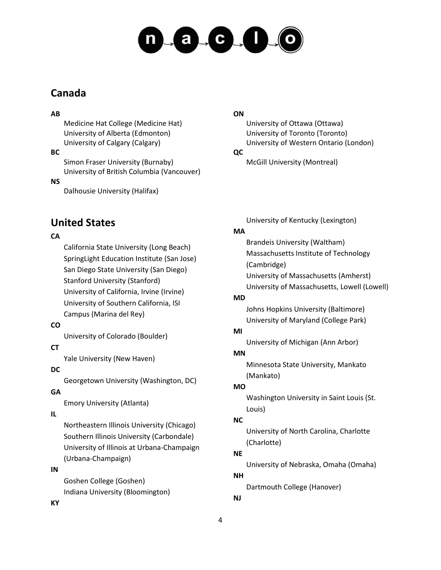# $-a + c$ ,  $1 - 0$

## **Canada**

#### **AB**

Medicine Hat College (Medicine Hat) University of Alberta (Edmonton) University of Calgary (Calgary)

#### **BC**

Simon Fraser University (Burnaby) University of British Columbia (Vancouver)

#### **NS**

Dalhousie University (Halifax)

## **United States**

## **CA**

California State University (Long Beach) SpringLight Education Institute (San Jose) San Diego State University (San Diego) Stanford University (Stanford) University of California, Irvine (Irvine) University of Southern California, ISI Campus (Marina del Rey)

## **CO**

University of Colorado (Boulder)

## **CT**

Yale University (New Haven)

## **DC**

Georgetown University (Washington, DC)

## **GA**

Emory University (Atlanta)

## **IL**

Northeastern Illinois University (Chicago) Southern Illinois University (Carbondale) University of Illinois at Urbana-Champaign (Urbana-Champaign)

#### **IN**

Goshen College (Goshen) Indiana University (Bloomington)

## **ON**

University of Ottawa (Ottawa) University of Toronto (Toronto) University of Western Ontario (London)

## **QC**

McGill University (Montreal)

University of Kentucky (Lexington)

## **MA**

Brandeis University (Waltham) Massachusetts Institute of Technology (Cambridge) University of Massachusetts (Amherst) University of Massachusetts, Lowell (Lowell)

## **MD**

Johns Hopkins University (Baltimore) University of Maryland (College Park)

## **MI**

University of Michigan (Ann Arbor)

## **MN**

Minnesota State University, Mankato (Mankato)

## **MO**

Washington University in Saint Louis (St. Louis)

## **NC**

University of North Carolina, Charlotte (Charlotte)

## **NE**

University of Nebraska, Omaha (Omaha)

#### **NH**

Dartmouth College (Hanover)

## **NJ**

**KY**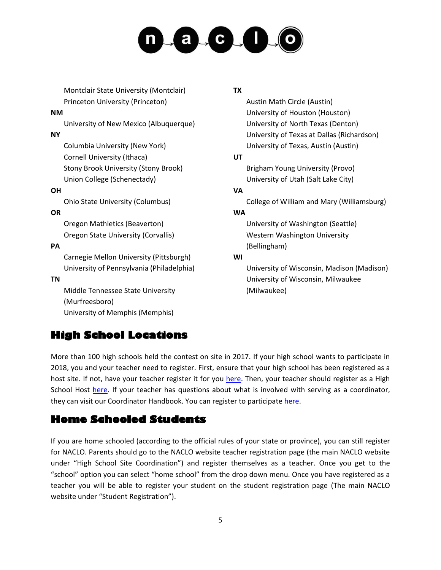# $-a + c$ ,  $1 - 0$

Montclair State University (Montclair) Princeton University (Princeton)

#### **NM**

University of New Mexico (Albuquerque)

#### **NY**

Columbia University (New York) Cornell University (Ithaca) Stony Brook University (Stony Brook) Union College (Schenectady)

#### **OH**

Ohio State University (Columbus)

#### **OR**

Oregon Mathletics (Beaverton) Oregon State University (Corvallis)

#### **PA**

Carnegie Mellon University (Pittsburgh) University of Pennsylvania (Philadelphia)

#### **TN**

Middle Tennessee State University (Murfreesboro) University of Memphis (Memphis)

## **High School Locations**

#### **TX**

Austin Math Circle (Austin) University of Houston (Houston) University of North Texas (Denton) University of Texas at Dallas (Richardson) University of Texas, Austin (Austin)

#### **UT**

Brigham Young University (Provo) University of Utah (Salt Lake City)

#### **VA**

College of William and Mary (Williamsburg)

#### **WA**

University of Washington (Seattle) Western Washington University (Bellingham)

#### **WI**

University of Wisconsin, Madison (Madison) University of Wisconsin, Milwaukee (Milwaukee)

More than 100 high schools held the contest on site in 2017. If your high school wants to participate in 2018, you and your teacher need to register. First, ensure that your high school has been registered as a host site. If not, have your teacher register it for you [here.](http://nacloweb.org/register_highsite.php) Then, your teacher should register as a High School Host [here.](http://nacloweb.org/register_highhost.php) If your teacher has questions about what is involved with serving as a coordinator, they can visit our Coordinator Handbook. You can register to participat[e here.](http://nacloweb.org/register_student.php)

## **Home Schooled Students**

If you are home schooled (according to the official rules of your state or province), you can still register for NACLO. Parents should go to the NACLO website teacher registration page (the main NACLO website under "High School Site Coordination") and register themselves as a teacher. Once you get to the "school" option you can select "home school" from the drop down menu. Once you have registered as a teacher you will be able to register your student on the student registration page (The main NACLO website under "Student Registration").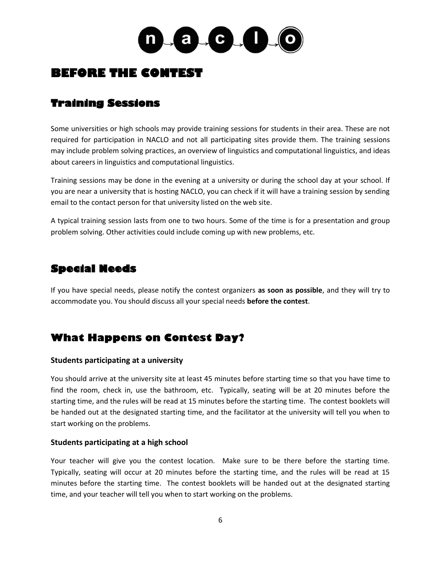

## **BEFORE THE CONTEST**

## **Training Sessions**

Some universities or high schools may provide training sessions for students in their area. These are not required for participation in NACLO and not all participating sites provide them. The training sessions may include problem solving practices, an overview of linguistics and computational linguistics, and ideas about careers in linguistics and computational linguistics.

Training sessions may be done in the evening at a university or during the school day at your school. If you are near a university that is hosting NACLO, you can check if it will have a training session by sending email to the contact person for that university listed on the web site.

A typical training session lasts from one to two hours. Some of the time is for a presentation and group problem solving. Other activities could include coming up with new problems, etc.

## **Special Needs**

If you have special needs, please notify the contest organizers **as soon as possible**, and they will try to accommodate you. You should discuss all your special needs **before the contest**.

## **What Happens on Contest Day?**

#### **Students participating at a university**

You should arrive at the university site at least 45 minutes before starting time so that you have time to find the room, check in, use the bathroom, etc. Typically, seating will be at 20 minutes before the starting time, and the rules will be read at 15 minutes before the starting time. The contest booklets will be handed out at the designated starting time, and the facilitator at the university will tell you when to start working on the problems.

#### **Students participating at a high school**

Your teacher will give you the contest location. Make sure to be there before the starting time. Typically, seating will occur at 20 minutes before the starting time, and the rules will be read at 15 minutes before the starting time. The contest booklets will be handed out at the designated starting time, and your teacher will tell you when to start working on the problems.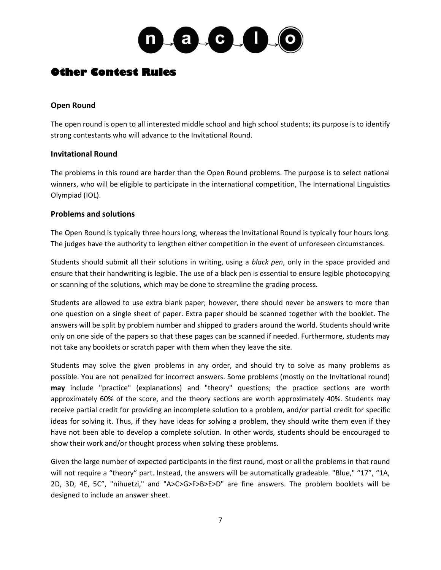

## **Other Contest Rules**

#### **Open Round**

The open round is open to all interested middle school and high school students; its purpose is to identify strong contestants who will advance to the Invitational Round.

#### **Invitational Round**

The problems in this round are harder than the Open Round problems. The purpose is to select national winners, who will be eligible to participate in the international competition, The International Linguistics Olympiad (IOL).

#### **Problems and solutions**

The Open Round is typically three hours long, whereas the Invitational Round is typically four hours long. The judges have the authority to lengthen either competition in the event of unforeseen circumstances.

Students should submit all their solutions in writing, using a *black pen*, only in the space provided and ensure that their handwriting is legible. The use of a black pen is essential to ensure legible photocopying or scanning of the solutions, which may be done to streamline the grading process.

Students are allowed to use extra blank paper; however, there should never be answers to more than one question on a single sheet of paper. Extra paper should be scanned together with the booklet. The answers will be split by problem number and shipped to graders around the world. Students should write only on one side of the papers so that these pages can be scanned if needed. Furthermore, students may not take any booklets or scratch paper with them when they leave the site.

Students may solve the given problems in any order, and should try to solve as many problems as possible. You are not penalized for incorrect answers. Some problems (mostly on the Invitational round) **may** include "practice" (explanations) and "theory" questions; the practice sections are worth approximately 60% of the score, and the theory sections are worth approximately 40%. Students may receive partial credit for providing an incomplete solution to a problem, and/or partial credit for specific ideas for solving it. Thus, if they have ideas for solving a problem, they should write them even if they have not been able to develop a complete solution. In other words, students should be encouraged to show their work and/or thought process when solving these problems.

Given the large number of expected participants in the first round, most or all the problems in that round will not require a "theory" part. Instead, the answers will be automatically gradeable. "Blue," "17", "1A, 2D, 3D, 4E, 5C", "nihuetzi," and "A>C>G>F>B>E>D" are fine answers. The problem booklets will be designed to include an answer sheet.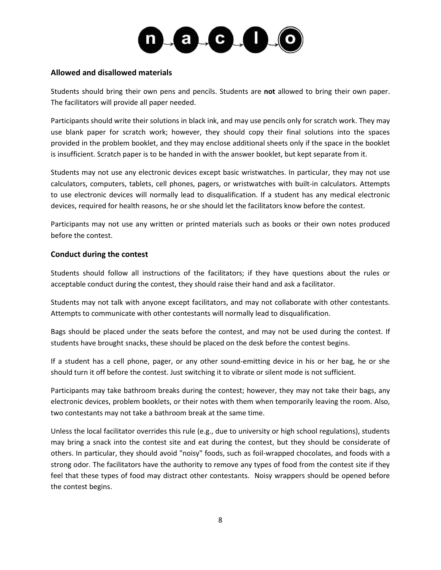

#### **Allowed and disallowed materials**

Students should bring their own pens and pencils. Students are **not** allowed to bring their own paper. The facilitators will provide all paper needed.

Participants should write their solutions in black ink, and may use pencils only for scratch work. They may use blank paper for scratch work; however, they should copy their final solutions into the spaces provided in the problem booklet, and they may enclose additional sheets only if the space in the booklet is insufficient. Scratch paper is to be handed in with the answer booklet, but kept separate from it.

Students may not use any electronic devices except basic wristwatches. In particular, they may not use calculators, computers, tablets, cell phones, pagers, or wristwatches with built-in calculators. Attempts to use electronic devices will normally lead to disqualification. If a student has any medical electronic devices, required for health reasons, he or she should let the facilitators know before the contest.

Participants may not use any written or printed materials such as books or their own notes produced before the contest.

#### **Conduct during the contest**

Students should follow all instructions of the facilitators; if they have questions about the rules or acceptable conduct during the contest, they should raise their hand and ask a facilitator.

Students may not talk with anyone except facilitators, and may not collaborate with other contestants. Attempts to communicate with other contestants will normally lead to disqualification.

Bags should be placed under the seats before the contest, and may not be used during the contest. If students have brought snacks, these should be placed on the desk before the contest begins.

If a student has a cell phone, pager, or any other sound-emitting device in his or her bag, he or she should turn it off before the contest. Just switching it to vibrate or silent mode is not sufficient.

Participants may take bathroom breaks during the contest; however, they may not take their bags, any electronic devices, problem booklets, or their notes with them when temporarily leaving the room. Also, two contestants may not take a bathroom break at the same time.

Unless the local facilitator overrides this rule (e.g., due to university or high school regulations), students may bring a snack into the contest site and eat during the contest, but they should be considerate of others. In particular, they should avoid "noisy" foods, such as foil-wrapped chocolates, and foods with a strong odor. The facilitators have the authority to remove any types of food from the contest site if they feel that these types of food may distract other contestants. Noisy wrappers should be opened before the contest begins.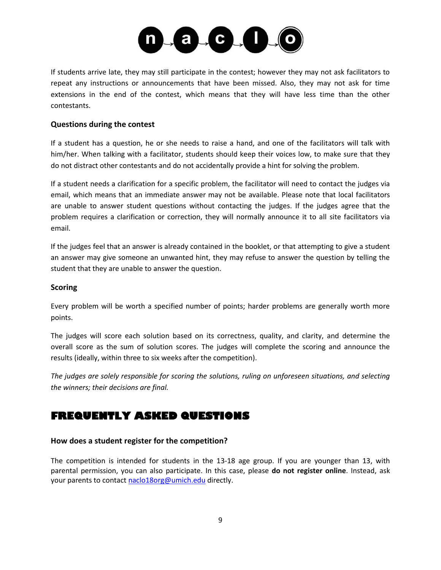

If students arrive late, they may still participate in the contest; however they may not ask facilitators to repeat any instructions or announcements that have been missed. Also, they may not ask for time extensions in the end of the contest, which means that they will have less time than the other contestants.

#### **Questions during the contest**

If a student has a question, he or she needs to raise a hand, and one of the facilitators will talk with him/her. When talking with a facilitator, students should keep their voices low, to make sure that they do not distract other contestants and do not accidentally provide a hint for solving the problem.

If a student needs a clarification for a specific problem, the facilitator will need to contact the judges via email, which means that an immediate answer may not be available. Please note that local facilitators are unable to answer student questions without contacting the judges. If the judges agree that the problem requires a clarification or correction, they will normally announce it to all site facilitators via email.

If the judges feel that an answer is already contained in the booklet, or that attempting to give a student an answer may give someone an unwanted hint, they may refuse to answer the question by telling the student that they are unable to answer the question.

#### **Scoring**

Every problem will be worth a specified number of points; harder problems are generally worth more points.

The judges will score each solution based on its correctness, quality, and clarity, and determine the overall score as the sum of solution scores. The judges will complete the scoring and announce the results (ideally, within three to six weeks after the competition).

*The judges are solely responsible for scoring the solutions, ruling on unforeseen situations, and selecting the winners; their decisions are final.*

## **FREQUENTLY ASKED QUESTIONS**

#### **How does a student register for the competition?**

The competition is intended for students in the 13-18 age group. If you are younger than 13, with parental permission, you can also participate. In this case, please **do not register online**. Instead, ask your parents to contact [naclo18org@umich.edu](mailto:naclo18org@umich.edu) directly.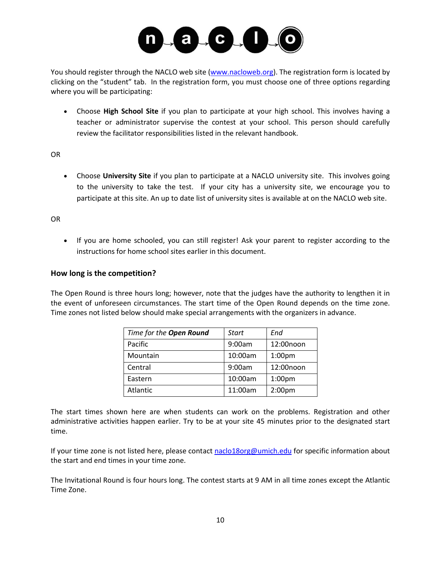

You should register through the NACLO web site [\(www.nacloweb.org\)](http://www.nacloweb.org/). The registration form is located by clicking on the "student" tab. In the registration form, you must choose one of three options regarding where you will be participating:

• Choose **High School Site** if you plan to participate at your high school. This involves having a teacher or administrator supervise the contest at your school. This person should carefully review the facilitator responsibilities listed in the relevant handbook.

#### OR

• Choose **University Site** if you plan to participate at a NACLO university site. This involves going to the university to take the test. If your city has a university site, we encourage you to participate at this site. An up to date list of university sites is available at on the NACLO web site.

#### OR

• If you are home schooled, you can still register! Ask your parent to register according to the instructions for home school sites earlier in this document.

#### **How long is the competition?**

The Open Round is three hours long; however, note that the judges have the authority to lengthen it in the event of unforeseen circumstances. The start time of the Open Round depends on the time zone. Time zones not listed below should make special arrangements with the organizers in advance.

| Time for the Open Round | Start   | End                |
|-------------------------|---------|--------------------|
| Pacific                 | 9:00am  | 12:00noon          |
| Mountain                | 10:00am | 1:00 <sub>pm</sub> |
| Central                 | 9:00am  | 12:00noon          |
| Eastern                 | 10:00am | 1:00 <sub>pm</sub> |
| Atlantic                | 11:00am | 2:00 <sub>pm</sub> |

The start times shown here are when students can work on the problems. Registration and other administrative activities happen earlier. Try to be at your site 45 minutes prior to the designated start time.

If your time zone is not listed here, please contact [naclo18org@umich.edu](mailto:naclo18org@umich.edu) for specific information about the start and end times in your time zone.

The Invitational Round is four hours long. The contest starts at 9 AM in all time zones except the Atlantic Time Zone.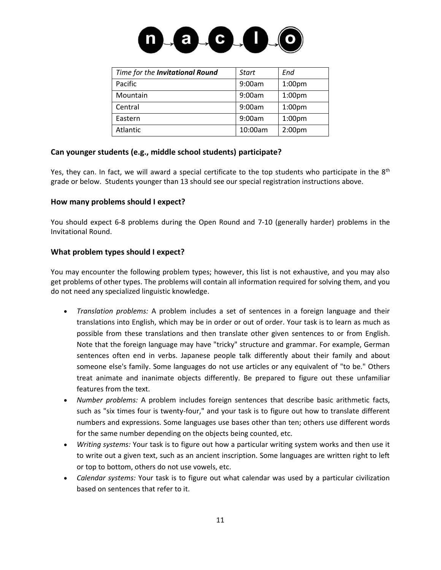

| Time for the Invitational Round | <b>Start</b> | End                |
|---------------------------------|--------------|--------------------|
| Pacific                         | 9:00am       | 1:00 <sub>pm</sub> |
| Mountain                        | 9:00am       | 1:00 <sub>pm</sub> |
| Central                         | 9:00am       | 1:00 <sub>pm</sub> |
| Eastern                         | 9:00am       | 1:00 <sub>pm</sub> |
| Atlantic                        | 10:00am      | 2:00 <sub>pm</sub> |

#### **Can younger students (e.g., middle school students) participate?**

Yes, they can. In fact, we will award a special certificate to the top students who participate in the 8<sup>th</sup> grade or below. Students younger than 13 should see our special registration instructions above.

#### **How many problems should I expect?**

You should expect 6-8 problems during the Open Round and 7-10 (generally harder) problems in the Invitational Round.

#### **What problem types should I expect?**

You may encounter the following problem types; however, this list is not exhaustive, and you may also get problems of other types. The problems will contain all information required for solving them, and you do not need any specialized linguistic knowledge.

- *Translation problems:* A problem includes a set of sentences in a foreign language and their translations into English, which may be in order or out of order. Your task is to learn as much as possible from these translations and then translate other given sentences to or from English. Note that the foreign language may have "tricky" structure and grammar. For example, German sentences often end in verbs. Japanese people talk differently about their family and about someone else's family. Some languages do not use articles or any equivalent of "to be." Others treat animate and inanimate objects differently. Be prepared to figure out these unfamiliar features from the text.
- *Number problems:* A problem includes foreign sentences that describe basic arithmetic facts, such as "six times four is twenty-four," and your task is to figure out how to translate different numbers and expressions. Some languages use bases other than ten; others use different words for the same number depending on the objects being counted, etc.
- *Writing systems:* Your task is to figure out how a particular writing system works and then use it to write out a given text, such as an ancient inscription. Some languages are written right to left or top to bottom, others do not use vowels, etc.
- *Calendar systems:* Your task is to figure out what calendar was used by a particular civilization based on sentences that refer to it.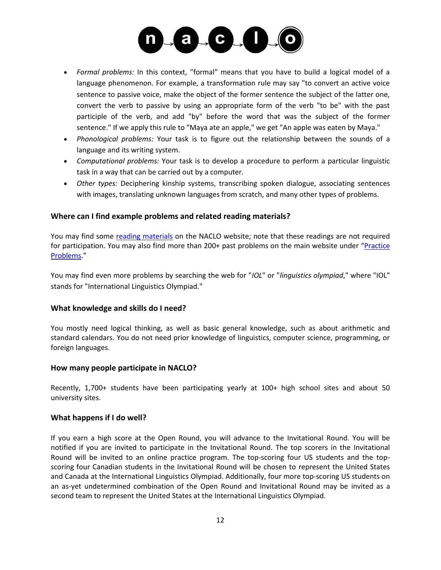

- *Formal problems:* In this context, "formal" means that you have to build a logical model of a language phenomenon. For example, a transformation rule may say "to convert an active voice sentence to passive voice, make the object of the former sentence the subject of the latter one, convert the verb to passive by using an appropriate form of the verb "to be" with the past participle of the verb, and add "by" before the word that was the subject of the former sentence." If we apply this rule to "Maya ate an apple," we get "An apple was eaten by Maya."
- *Phonological problems:* Your task is to figure out the relationship between the sounds of a language and its writing system.
- *Computational problems:* Your task is to develop a procedure to perform a particular linguistic task in a way that can be carried out by a computer.
- *Other types:* Deciphering kinship systems, transcribing spoken dialogue, associating sentences with images, translating unknown languages from scratch, and many other types of problems.

#### **Where can I find example problems and related reading materials?**

You may find some [reading materials](http://nacloweb.org/resources.php) on the NACLO website; note that these readings are not required for participation. You may also find more than 200+ past problems on the main website under "[Practice](http://nacloweb.org/practice.php)  [Problems](http://nacloweb.org/practice.php)."

You may find even more problems by searching the web for "*IOL*" or "*linguistics olympiad*," where "IOL" stands for "International Linguistics Olympiad."

#### **What knowledge and skills do I need?**

You mostly need logical thinking, as well as basic general knowledge, such as about arithmetic and standard calendars. You do not need prior knowledge of linguistics, computer science, programming, or foreign languages.

#### **How many people participate in NACLO?**

Recently, 1,700+ students have been participating yearly at 100+ high school sites and about 50 university sites.

#### **What happens if I do well?**

If you earn a high score at the Open Round, you will advance to the Invitational Round. You will be notified if you are invited to participate in the Invitational Round. The top scorers in the Invitational Round will be invited to an online practice program. The top-scoring four US students and the topscoring four Canadian students in the Invitational Round will be chosen to represent the United States and Canada at the International Linguistics Olympiad. Additionally, four more top-scoring US students on an as-yet undetermined combination of the Open Round and Invitational Round may be invited as a second team to represent the United States at the International Linguistics Olympiad.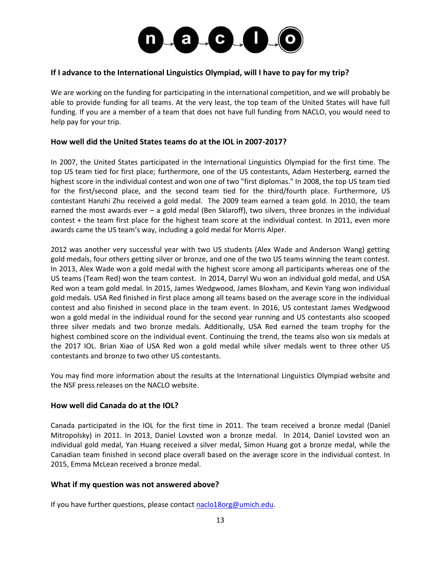

#### **If I advance to the International Linguistics Olympiad, will I have to pay for my trip?**

We are working on the funding for participating in the international competition, and we will probably be able to provide funding for all teams. At the very least, the top team of the United States will have full funding. If you are a member of a team that does not have full funding from NACLO, you would need to help pay for your trip.

#### **How well did the United States teams do at the IOL in 2007-2017?**

In 2007, the United States participated in the International Linguistics Olympiad for the first time. The top US team tied for first place; furthermore, one of the US contestants, Adam Hesterberg, earned the highest score in the individual contest and won one of two "first diplomas." In 2008, the top US team tied for the first/second place, and the second team tied for the third/fourth place. Furthermore, US contestant Hanzhi Zhu received a gold medal. The 2009 team earned a team gold. In 2010, the team earned the most awards ever – a gold medal (Ben Sklaroff), two silvers, three bronzes in the individual contest + the team first place for the highest team score at the individual contest. In 2011, even more awards came the US team's way, including a gold medal for Morris Alper.

2012 was another very successful year with two US students (Alex Wade and Anderson Wang) getting gold medals, four others getting silver or bronze, and one of the two US teams winning the team contest. In 2013, Alex Wade won a gold medal with the highest score among all participants whereas one of the US teams (Team Red) won the team contest. In 2014, Darryl Wu won an individual gold medal, and USA Red won a team gold medal. In 2015, James Wedgwood, James Bloxham, and Kevin Yang won individual gold medals. USA Red finished in first place among all teams based on the average score in the individual contest and also finished in second place in the team event. In 2016, US contestant James Wedgwood won a gold medal in the individual round for the second year running and US contestants also scooped three silver medals and two bronze medals. Additionally, USA Red earned the team trophy for the highest combined score on the individual event. Continuing the trend, the teams also won six medals at the 2017 IOL. Brian Xiao of USA Red won a gold medal while silver medals went to three other US contestants and bronze to two other US contestants.

You may find more information about the results at the International Linguistics Olympiad website and the NSF press releases on the NACLO website.

#### **How well did Canada do at the IOL?**

Canada participated in the IOL for the first time in 2011. The team received a bronze medal (Daniel Mitropolsky) in 2011. In 2013, Daniel Lovsted won a bronze medal. In 2014, Daniel Lovsted won an individual gold medal, Yan Huang received a silver medal, Simon Huang got a bronze medal, while the Canadian team finished in second place overall based on the average score in the individual contest. In 2015, Emma McLean received a bronze medal.

#### **What if my question was not answered above?**

If you have further questions, please contact [naclo18org@umich.edu.](mailto:naclo18org@umich.edu)